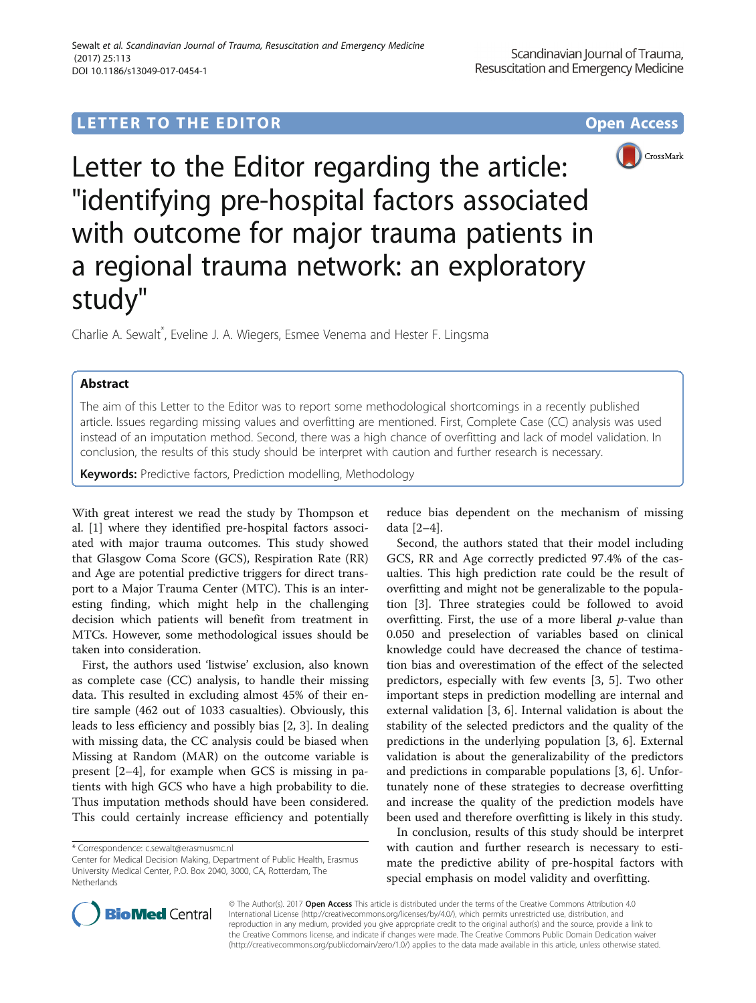# LETTER TO THE EDITOR **CONSIDERING A CONSIDERATION**



Letter to the Editor regarding the article: "identifying pre-hospital factors associated with outcome for major trauma patients in a regional trauma network: an exploratory study"

Charlie A. Sewalt<sup>\*</sup>, Eveline J. A. Wiegers, Esmee Venema and Hester F. Lingsma

# Abstract

The aim of this Letter to the Editor was to report some methodological shortcomings in a recently published article. Issues regarding missing values and overfitting are mentioned. First, Complete Case (CC) analysis was used instead of an imputation method. Second, there was a high chance of overfitting and lack of model validation. In conclusion, the results of this study should be interpret with caution and further research is necessary.

**Keywords:** Predictive factors, Prediction modelling, Methodology

With great interest we read the study by Thompson et al. [\[1](#page-1-0)] where they identified pre-hospital factors associated with major trauma outcomes. This study showed that Glasgow Coma Score (GCS), Respiration Rate (RR) and Age are potential predictive triggers for direct transport to a Major Trauma Center (MTC). This is an interesting finding, which might help in the challenging decision which patients will benefit from treatment in MTCs. However, some methodological issues should be taken into consideration.

First, the authors used 'listwise' exclusion, also known as complete case (CC) analysis, to handle their missing data. This resulted in excluding almost 45% of their entire sample (462 out of 1033 casualties). Obviously, this leads to less efficiency and possibly bias [\[2](#page-1-0), [3](#page-1-0)]. In dealing with missing data, the CC analysis could be biased when Missing at Random (MAR) on the outcome variable is present [[2](#page-1-0)–[4](#page-1-0)], for example when GCS is missing in patients with high GCS who have a high probability to die. Thus imputation methods should have been considered. This could certainly increase efficiency and potentially reduce bias dependent on the mechanism of missing data [\[2](#page-1-0)–[4\]](#page-1-0).

Second, the authors stated that their model including GCS, RR and Age correctly predicted 97.4% of the casualties. This high prediction rate could be the result of overfitting and might not be generalizable to the population [[3\]](#page-1-0). Three strategies could be followed to avoid overfitting. First, the use of a more liberal  $p$ -value than 0.050 and preselection of variables based on clinical knowledge could have decreased the chance of testimation bias and overestimation of the effect of the selected predictors, especially with few events [[3, 5\]](#page-1-0). Two other important steps in prediction modelling are internal and external validation [\[3](#page-1-0), [6](#page-1-0)]. Internal validation is about the stability of the selected predictors and the quality of the predictions in the underlying population [\[3, 6\]](#page-1-0). External validation is about the generalizability of the predictors and predictions in comparable populations [\[3](#page-1-0), [6\]](#page-1-0). Unfortunately none of these strategies to decrease overfitting and increase the quality of the prediction models have been used and therefore overfitting is likely in this study.

In conclusion, results of this study should be interpret with caution and further research is necessary to estimate the predictive ability of pre-hospital factors with special emphasis on model validity and overfitting.



© The Author(s). 2017 **Open Access** This article is distributed under the terms of the Creative Commons Attribution 4.0 International License [\(http://creativecommons.org/licenses/by/4.0/](http://creativecommons.org/licenses/by/4.0/)), which permits unrestricted use, distribution, and reproduction in any medium, provided you give appropriate credit to the original author(s) and the source, provide a link to the Creative Commons license, and indicate if changes were made. The Creative Commons Public Domain Dedication waiver [\(http://creativecommons.org/publicdomain/zero/1.0/](http://creativecommons.org/publicdomain/zero/1.0/)) applies to the data made available in this article, unless otherwise stated.

<sup>\*</sup> Correspondence: [c.sewalt@erasmusmc.nl](mailto:c.sewalt@erasmusmc.nl)

Center for Medical Decision Making, Department of Public Health, Erasmus University Medical Center, P.O. Box 2040, 3000, CA, Rotterdam, The Netherlands